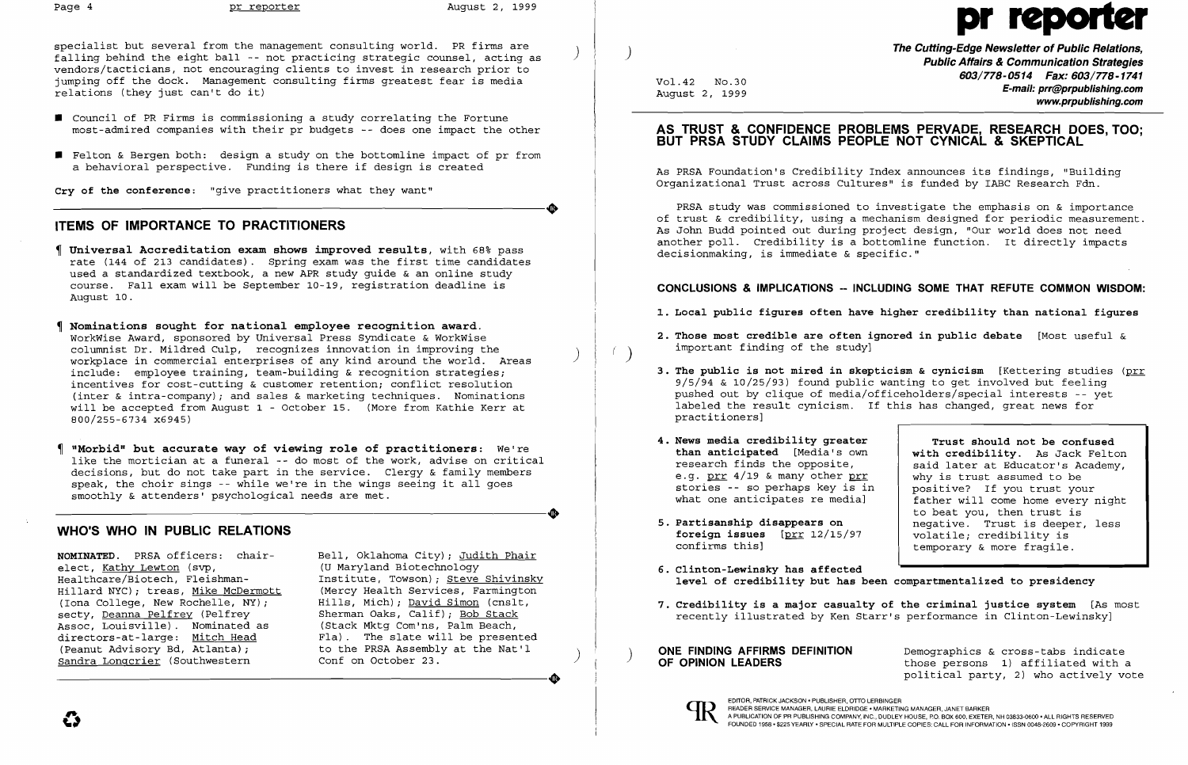specialist but several from the management consulting world. PR firms are  $f$ alling behind the eight ball -- not practicing strategic counsel, acting as vendors/tacticians, not encouraging clients to invest in research prior to jumping off the dock. Management consulting firms greatest fear is media relations (they just can't do it)

- **•** Council of PR Firms is commissioning a study correlating the Fortune most-admired companies with their pr budgets -- does one impact the other
- **•** Felton & Bergen both: design a study on the bottomline impact of pr from a behavioral perspective. Funding is there if design is created

**Cry of the conference:** "give practitioners what they want" Cry of the conference: "give practitioners what they want"

# **ITEMS OF IMPORTANCE TO PRACTITIONERS**

- **Universal Accreditation exam shows improved results,** with 68~ pass rate (144 of 213 candidates). Spring exam was the first time candidates used a standardized textbook, a new APR study guide & an online study course. Fall exam will be September 10-19, registration deadline is August 10.
- **Nominations sought for national employee recognition award.**  WorkWise Award, sponsored by Universal Press Syndicate & WorkWise columnist Dr. Mildred Culp, recognizes innovation in improving the ) workplace in commercial enterprises of any kind around the world. Areas include: employee training, team-building & recognition strategies; incentives for cost-cutting & customer retention; conflict resolution (inter & intra-company); and sales & marketing techniques. Nominations will be accepted from August 1 - October 15. (More from Kathie Kerr at 800/255-6734 x6945)
- **"Morbid" but accurate way of viewing role of practitioners:** We're like the mortician at a funeral -- do most of the work, advise on critical decisions, but do not take part in the service. Clergy & family members speak, the choir sings -- while we're in the wings seeing it all goes<br>smoothly & attenders' psychological needs are met. smoothly & attenders' psychological needs are met.

# **WHO'S WHO IN PUBLIC RELATIONS**

elect, <u>Kathy Lewton</u> (svp,<br>Healthcare/Biotech, Fleishman-Hillard NYC); treas, Mike McDermott<br>(Iona College, New Rochelle, NY); (Iona College, New Rochelle, NY); Hills, Mich); David Simon (cnslt, Assoc, Louisville). Nominated as<br>directors-at-large: Mitch Head directors-at-large: Mitch Head Fla). The slate will be presented (Peanut Advisory Bd, Atlanta); buthe PRSA Assembly at the Nat'l ) Sandra Longcrier (Southwestern Conf on October 23.

**NOMINATED.** PRSA officers: chair-<br>elect, Kathy Lewton (svp,  $(U$  Maryland Biotechnology Institute, Towson); Steve Shivinsky<br>(Mercy Health Services, Farmington Sherman Oaks, Calif); Bob Stack (Stack Mktg Com'ns, Palm Beach, (Peanut Advisory Bd, Atlanta); to the PRSA Assembly at the Nat'l<br>Sandra Longcrier (Southwestern conf on October 23.

- 
- important finding of the study]
- practitioners]
- **4. News media credibility greater and an integral of the confused than anticipated [Media's own and with credibility.** As Jack Felto e.g. <u>prr</u> 4/19 & many other <u>prr</u><br>stories -- so perhaps key is in stories -- so perhaps key is in positive? If you trust your<br>what one anticipates re medial father will come home every r
- **foreign issues** [prr 12/15/97 confirms this]
- **6. Clinton-Lewinsky has affected**
- 



EDITOR, PATRICK JACKSON • PUBLISHER, OTTO LERBINGER<br>READER SERVICE MANAGER, LAURIE ELDRIDGE • MARKETING MANAGER, JANET BARKER

**ONE FINDING AFFIRMS DEFINITION** Demographics & cross-tabs indicate<br> **OF OPINION LEADERS** *CREADERS* **EXECUTE:** those persons 1) affiliated with a political party, 2) who actively vote

**The Cutting-Edge Newsletter of Public Relations,** ) **Public Affairs & Communication Strategies 603/778-0514 Fax: 603/778-1741** Vol. 42 No. 30 **E-mail: prr@prpublishing.com www.prpublishing.com** 

## **AS TRUST & CONFIDENCE PROBLEMS PERVADE, RESEARCH DOES, TOO; BUT PRSA STUDY CLAIMS PEOPLE NOT CYNICAL & SKEPTICAL**

As PRSA Foundation's Credibility Index announces its findings, "Building Organizational Trust across Cultures" is funded by IABC Research Fdn.

PRSA study was commissioned to investigate the emphasis on & importance of trust & credibility, using a mechanism designed for periodic measurement. As John Budd pointed out during project design, "Our world does not need another poll. Credibility is a bottomline function. It directly impacts decisionmaking, is immediate & specific."

## **CONCLUSIONS & IMPLICATIONS -- INCLUDING SOME THAT REFUTE COMMON WISDOM:**

**1. Local public figures often have higher credibility than national figures** 

**2. Those most credible are often ignored in public debate** [Most useful &

**3. The public is not mired in skepticism & cynicism** [Kettering studies (prr 9/5/94 & 10/25/93) found public wanting to get involved but feeling pushed out by clique of media/officeholders/special interests -- yet labeled the result cynicism. If this has changed, great news for

**than anticipated** [Media's own **with credibility.** As Jack Felton research finds the opposite. said later at Educator's Academy,<br>why is trust assumed to be father will come home every night to beat you, then trust is **5. Partisanship disappears on negative.** Trust is deeper, less foreign issues [prr 12/15/97 | volatile: credibility is temporary & more fragile.

### **level of credibility but has been compartmentalized to presidency**

**7. Credibility is a major casualty of the criminal justice system** [As most recently illustrated by Ken Starr's performance in Clinton-Lewinsky]

# Page 4 pr reporter August 2, 1999 pr reporter August 2, 1999 pr reporter and the August 2, 1999 pr reporter and  $\blacksquare$